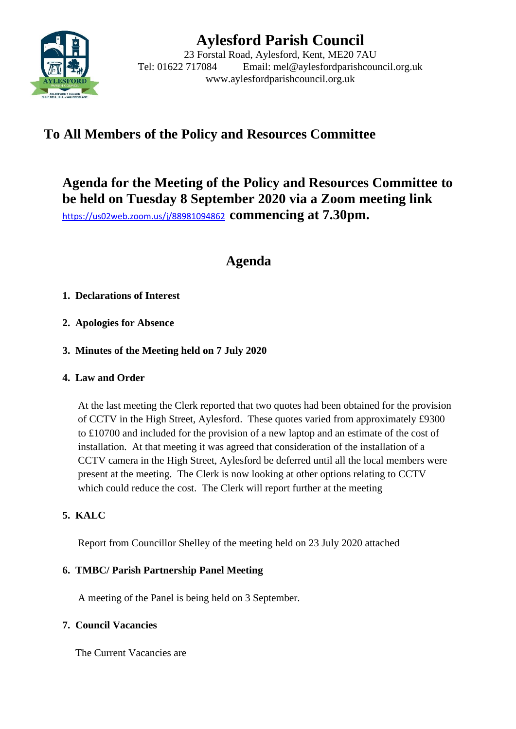

# **Aylesford Parish Council**

23 Forstal Road, Aylesford, Kent, ME20 7AU Tel: 01622 717084 Email: mel@aylesfordparishcouncil.org.uk www.aylesfordparishcouncil.org.uk

## **To All Members of the Policy and Resources Committee**

**Agenda for the Meeting of the Policy and Resources Committee to be held on Tuesday 8 September 2020 via a Zoom meeting link** <https://us02web.zoom.us/j/88981094862>**commencing at 7.30pm.**

# **Agenda**

### **1. Declarations of Interest**

- **2. Apologies for Absence**
- **3. Minutes of the Meeting held on 7 July 2020**

#### **4. Law and Order**

At the last meeting the Clerk reported that two quotes had been obtained for the provision of CCTV in the High Street, Aylesford. These quotes varied from approximately £9300 to £10700 and included for the provision of a new laptop and an estimate of the cost of installation. At that meeting it was agreed that consideration of the installation of a CCTV camera in the High Street, Aylesford be deferred until all the local members were present at the meeting. The Clerk is now looking at other options relating to CCTV which could reduce the cost. The Clerk will report further at the meeting

### **5. KALC**

Report from Councillor Shelley of the meeting held on 23 July 2020 attached

#### **6. TMBC/ Parish Partnership Panel Meeting**

A meeting of the Panel is being held on 3 September.

#### **7. Council Vacancies**

The Current Vacancies are